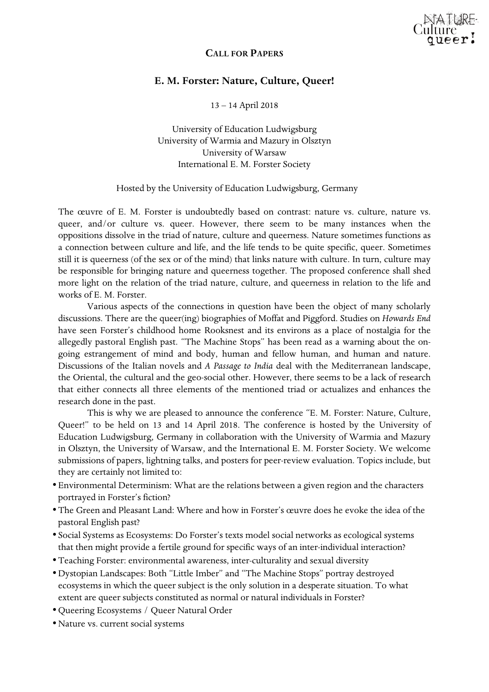

## **CALL FOR PAPERS**

## **E. M. Forster: Nature, Culture, Queer!**

13 – 14 April 2018

University of Education Ludwigsburg University of Warmia and Mazury in Olsztyn University of Warsaw International E. M. Forster Society

## Hosted by the University of Education Ludwigsburg, Germany

The œuvre of E. M. Forster is undoubtedly based on contrast: nature vs. culture, nature vs. queer, and/or culture vs. queer. However, there seem to be many instances when the oppositions dissolve in the triad of nature, culture and queerness. Nature sometimes functions as a connection between culture and life, and the life tends to be quite specific, queer. Sometimes still it is queerness (of the sex or of the mind) that links nature with culture. In turn, culture may be responsible for bringing nature and queerness together. The proposed conference shall shed more light on the relation of the triad nature, culture, and queerness in relation to the life and works of E. M. Forster.

Various aspects of the connections in question have been the object of many scholarly discussions. There are the queer(ing) biographies of Moffat and Piggford. Studies on *Howards End* have seen Forster's childhood home Rooksnest and its environs as a place of nostalgia for the allegedly pastoral English past. "The Machine Stops" has been read as a warning about the ongoing estrangement of mind and body, human and fellow human, and human and nature. Discussions of the Italian novels and *A Passage to India* deal with the Mediterranean landscape, the Oriental, the cultural and the geo-social other. However, there seems to be a lack of research that either connects all three elements of the mentioned triad or actualizes and enhances the research done in the past.

This is why we are pleased to announce the conference "E. M. Forster: Nature, Culture, Queer!" to be held on 13 and 14 April 2018. The conference is hosted by the University of Education Ludwigsburg, Germany in collaboration with the University of Warmia and Mazury in Olsztyn, the University of Warsaw, and the International E. M. Forster Society. We welcome submissions of papers, lightning talks, and posters for peer-review evaluation. Topics include, but they are certainly not limited to:

- •Environmental Determinism: What are the relations between a given region and the characters portrayed in Forster's fiction?
- •The Green and Pleasant Land: Where and how in Forster's œuvre does he evoke the idea of the pastoral English past?
- Social Systems as Ecosystems: Do Forster's texts model social networks as ecological systems that then might provide a fertile ground for specific ways of an inter-individual interaction?
- •Teaching Forster: environmental awareness, inter-culturality and sexual diversity
- •Dystopian Landscapes: Both "Little Imber" and "The Machine Stops" portray destroyed ecosystems in which the queer subject is the only solution in a desperate situation. To what extent are queer subjects constituted as normal or natural individuals in Forster?
- •Queering Ecosystems / Queer Natural Order
- •Nature vs. current social systems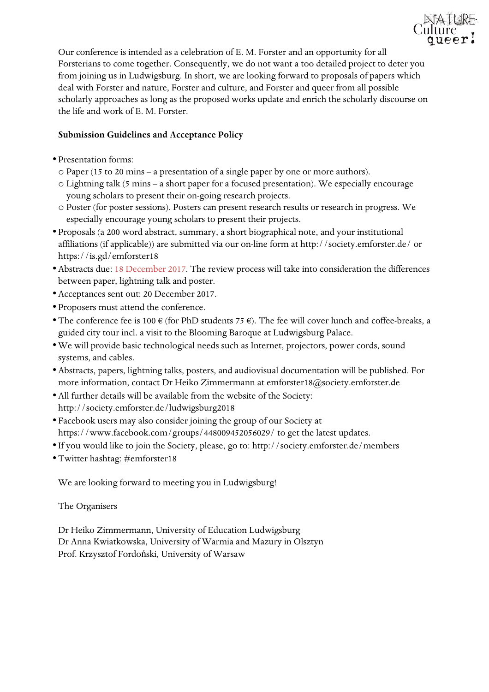

Our conference is intended as a celebration of E. M. Forster and an opportunity for all Forsterians to come together. Consequently, we do not want a too detailed project to deter you from joining us in Ludwigsburg. In short, we are looking forward to proposals of papers which deal with Forster and nature, Forster and culture, and Forster and queer from all possible scholarly approaches as long as the proposed works update and enrich the scholarly discourse on the life and work of E. M. Forster.

## **Submission Guidelines and Acceptance Policy**

- •Presentation forms:
	- o Paper (15 to 20 mins a presentation of a single paper by one or more authors).
	- o Lightning talk (5 mins a short paper for a focused presentation). We especially encourage young scholars to present their on-going research projects.
	- o Poster (for poster sessions). Posters can present research results or research in progress. We especially encourage young scholars to present their projects.
- •Proposals (a 200 word abstract, summary, a short biographical note, and your institutional affiliations (if applicable)) are submitted via our on-line form at http://society.emforster.de/ or https://is.gd/emforster18
- •Abstracts due: 18 December 2017. The review process will take into consideration the differences between paper, lightning talk and poster.
- •Acceptances sent out: 20 December 2017.
- •Proposers must attend the conference.
- The conference fee is 100  $\epsilon$  (for PhD students 75  $\epsilon$ ). The fee will cover lunch and coffee-breaks, a guided city tour incl. a visit to the Blooming Baroque at Ludwigsburg Palace.
- •We will provide basic technological needs such as Internet, projectors, power cords, sound systems, and cables.
- •Abstracts, papers, lightning talks, posters, and audiovisual documentation will be published. For more information, contact Dr Heiko Zimmermann at emforster18@society.emforster.de
- •All further details will be available from the website of the Society: http://society.emforster.de/ludwigsburg2018
- Facebook users may also consider joining the group of our Society at https://www.facebook.com/groups/448009452056029/ to get the latest updates.
- If you would like to join the Society, please, go to: http://society.emforster.de/members
- •Twitter hashtag: #emforster18

We are looking forward to meeting you in Ludwigsburg!

The Organisers

Dr Heiko Zimmermann, University of Education Ludwigsburg Dr Anna Kwiatkowska, University of Warmia and Mazury in Olsztyn Prof. Krzysztof Fordoński, University of Warsaw